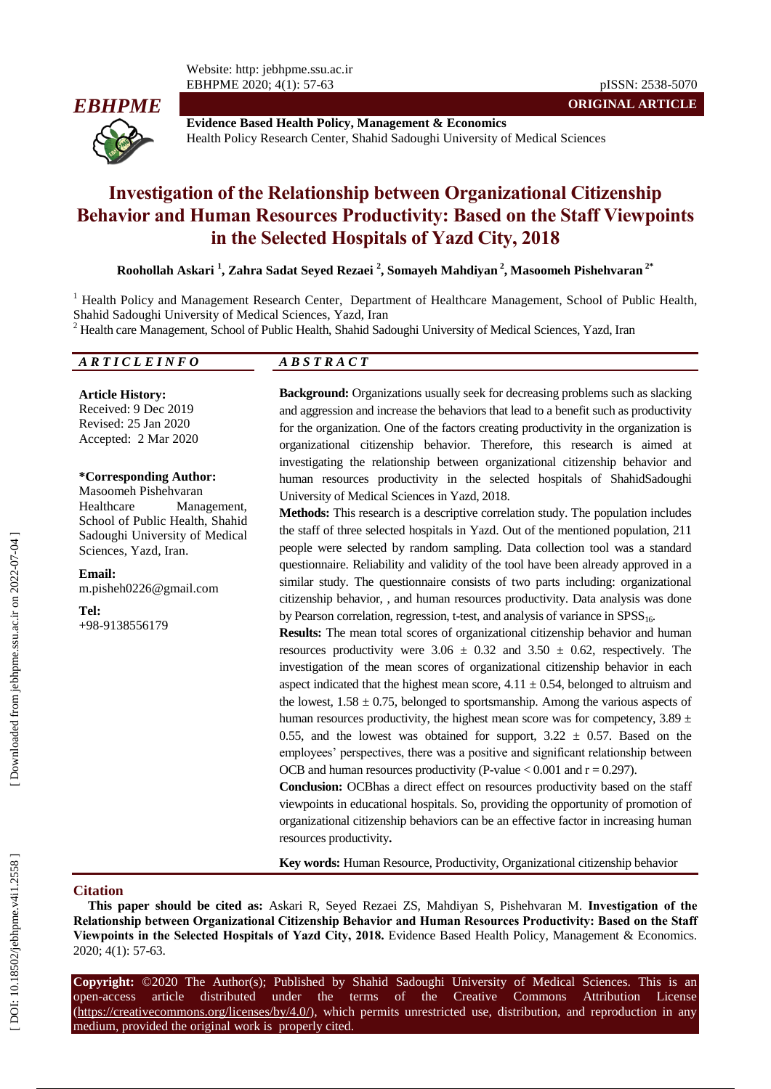

**Evidence Based Health Policy, Management & Economics** Health Policy Research Center, Shahid Sadoughi University of Medical Sciences

# **Investigation of the Relationship between Organizational Citizenship Behavior and Human Resources Productivity: Based on the Staff Viewpoints in the Selected Hospitals of Yazd City , 2018**

**Roohollah Askari 1 , Zahra Sadat Seyed Rezaei 2 , Somayeh Mahdiyan 2 , Masoomeh Pishehvaran 2 \***

<sup>1</sup> Health Policy and Management Research Center, Department of Healthcare Management, School of Public Health, Shahid Sado ughi University of Medical Sciences, Yazd, Iran

 $2$  Health care Management, School of Public Health, Shahid Sadoughi University of Medical Sciences, Yazd, Iran

#### *A R T I C L E I N F O A B S T R A C T*

**Article History:** Received: 9 Dec 2019 Revised: 25 Jan 2020 Accepted: 2 Mar 2020

#### **\*Corresponding Author:**

Masoomeh Pishehvaran Healthcare Management, School of Public Health, Shahid Sado ughi University of Medical Sciences, Yazd, Iran .

**Email:** m.pisheh0226@gmail.com

**Tel:** +98 -9138556179

**Background:** Organizations usually seek for decreasing problems such as slacking and aggression and increase the behaviors that lead to a benefit such as productivity for the organization. One of the factors creating productivity in the organization is organizational citizenship behavior. Therefore, this research is aimed at investigating the relationship between organizational citizenship behavior and human resource s productivity in the selected hospitals of ShahidSado ughi University of Medical Sciences in Yazd, 2018.

**Methods:** This research is a descriptive correlation study. The population includes the staff of three selected hospitals in Yazd. Out of the mentioned population, 211 people were selected by random sampling. Data collection tool was a standard questionnaire. Reliability and validity of the tool have been already approved in a similar study. The questionnaire consists of two parts including: organizational citizenship behavior, , and human resources productivity. Data analysis was done by Pearson correlation, regression, t-test, and analysis of variance in SPSS<sub>16</sub>.

**Results:** The mean total scores of organizational citizenship behavior and human resources productivity were  $3.06 \pm 0.32$  and  $3.50 \pm 0.62$ , respectively. The investigation of the mean scores of organizational citizenship behavior in each aspect indicated that the highest mean score,  $4.11 \pm 0.54$ , belonged to altruism and the lowest,  $1.58 \pm 0.75$ , belonged to sportsmanship. Among the various aspects of human resources productivity, the highest mean score was for competency,  $3.89 \pm$ 0.55, and the lowest was obtained for support,  $3.22 \pm 0.57$ . Based on the employees' perspectives, there was a positive and significant relationship between OCB and human resources productivity (P-value  $< 0.001$  and  $r = 0.297$ ).

**Conclusion:** OCBhas a direct effect on resources productivity based on the staff viewpoints in educational hospitals. So, providing the opportunity of promotion of organizational citizenship behaviors can be an effective factor in increasing human resources productivity **.**

**Key words:** Human Resource , Productivity, Organizational citizenship behavior

# **Ci tation**

**This paper should be cited as:** Askari R, Seyed Rezaei ZS, Mahdiyan S, Pishehvaran M. **Investigation of the Relationship between Organizational Citizenship Behavior and Human Resources Productivity: Based on the Staff Viewpoints in the Selected Hospitals of Yazd City, 2018 .** Evidence Based Health Policy, Management & Economics. 2020; 4(1): 57 -63.

**Copyright:** ©2020 The Author(s); Published by Shahid Sadoughi University of Medical Sciences. This is an open-access -access article distributed under the terms of the Creative Commons Attribution License (https://creativecommons.org/licenses/by/4.0/), which permits unrestricted use, distribution, and reproduction in any medium, provided the original work is properly cited.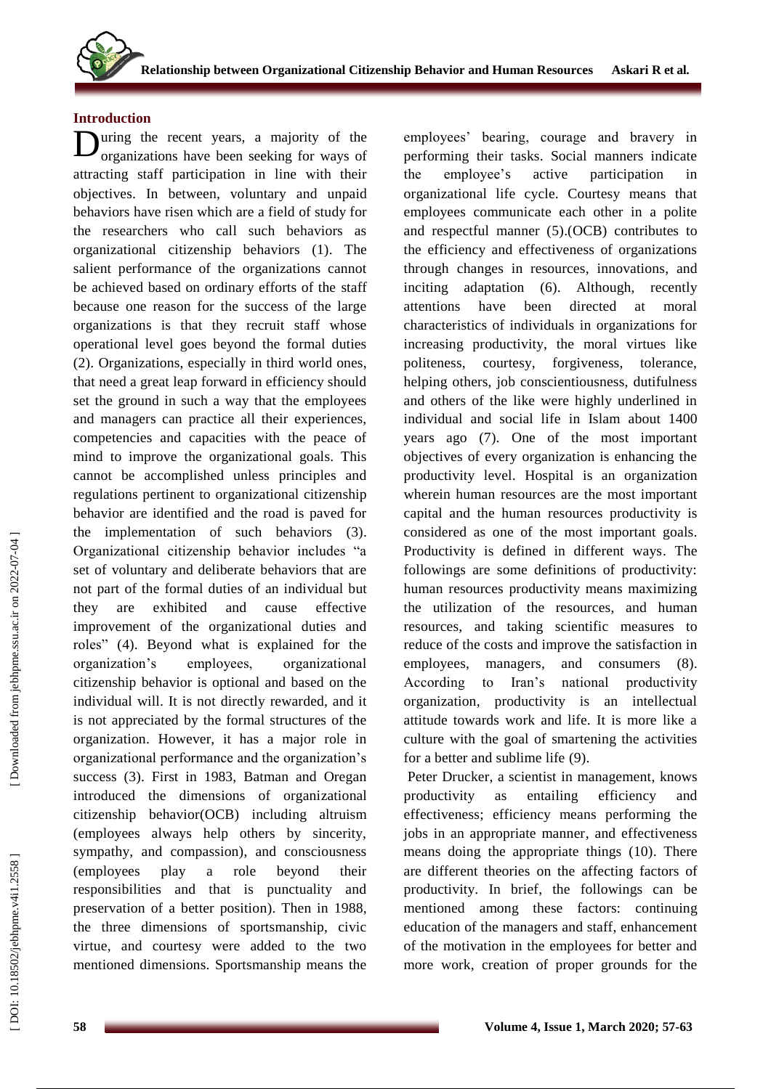# **Introduction**

**D**uring the recent years, a majority of the organizations have been seeking for ways of organizations have been seeking for ways of attracting staff participation in line with their objectives. In between, voluntary and unpaid behaviors have risen which are a field of study for the researchers who call such behaviors as organizational citizenship behaviors (1). The salient performance of the organizations cannot be achieved based on ordinary efforts of the staff because one reason for the success of the large organizations is that they recruit staff whose operational level goes beyond the formal duties (2). Organizations, especially in third world ones, that need a great leap forward in efficiency should set the ground in such a way that the employees and managers can practice all their experiences, competencies and capacities with the peace of mind to improve the organizational goals. This cannot be accomplished unless principles and regulations pertinent to organizational citizenship behavior are identified and the road is paved for the implementation of such behaviors ( 3 ) . Organizational citizenship behavior includes "a set of voluntary and deliberate behaviors that are not part of the formal duties of an individual but they are exhibited and cause effective improvement of the organizational duties and roles" (4) . Beyond what is explained for the organization's employees, organizational citizenship behavior is optional and based on the individual will. It is not directly rewarded, and it is not appreciated by the formal structures of the organization. However, it has a major role in organizational performance and the organization's success (3). First in 1983, Batman and Oregan introduced the dimensions of organizational citizenship behavior (OCB ) including altruism (employees always help others by sincerity, sympathy, and compassion), and consciousness (employees play a role beyond their responsibilities and that is punctuality and preservation of a better position). Then in 1988, the three dimensions of sportsmanship, civic virtue, and courtesy were added to the two mentioned dimensions. Sportsmanship means the

employees' bearing, courage and bravery in performing their tasks. Social manners indicate the employee's active participation in organizational life cycle. Courtesy means that employees communicate each other in a polite and respectful manner (5 ) .(OCB) contributes to the efficiency and effectiveness of organizations through changes in resources, innovations , and inciting adaptation (6). Although, recently attentions have been directed at moral characteristics of individuals in organizations for increasing productivity, the moral virtues like politeness, courtesy, forgiveness, tolerance, helping others, job conscientiousness, dutifulness and others of the like were highly underlined in individual and social life in Islam about 1400 years ago (7). One of the most important objectives of every organization is enhancing the productivity level. Hospital is an organization wherein human resources are the most important capital and the human resources productivity is considered as one of the most important goals. Productivity is defined in different ways. The followings are some definitions of productivity: human resources productivity means maximizing the utilization of the resources, and human resources , and taking scientific measures to reduce of the costs and improve the satisfaction in employees, managers , and consumers (8). According to Iran's national productivity organization, productivity is an intellectual attitude towards work and life. It is more like a culture with the goal of smartening the activities for a better and sublime life (9) .

Peter Drucker, a scientist in management, knows productivity as entailing efficiency and effectiveness; efficiency means performing the jobs in an appropriate manner , and effectiveness means doing the appropriate things (10). There are different theories on the affecting factors of productivity. In brief, the followings can be mentioned among these factors: continuing education of the managers and staff, enhancement of the motivation in the employees for better and more work, creation of proper grounds for the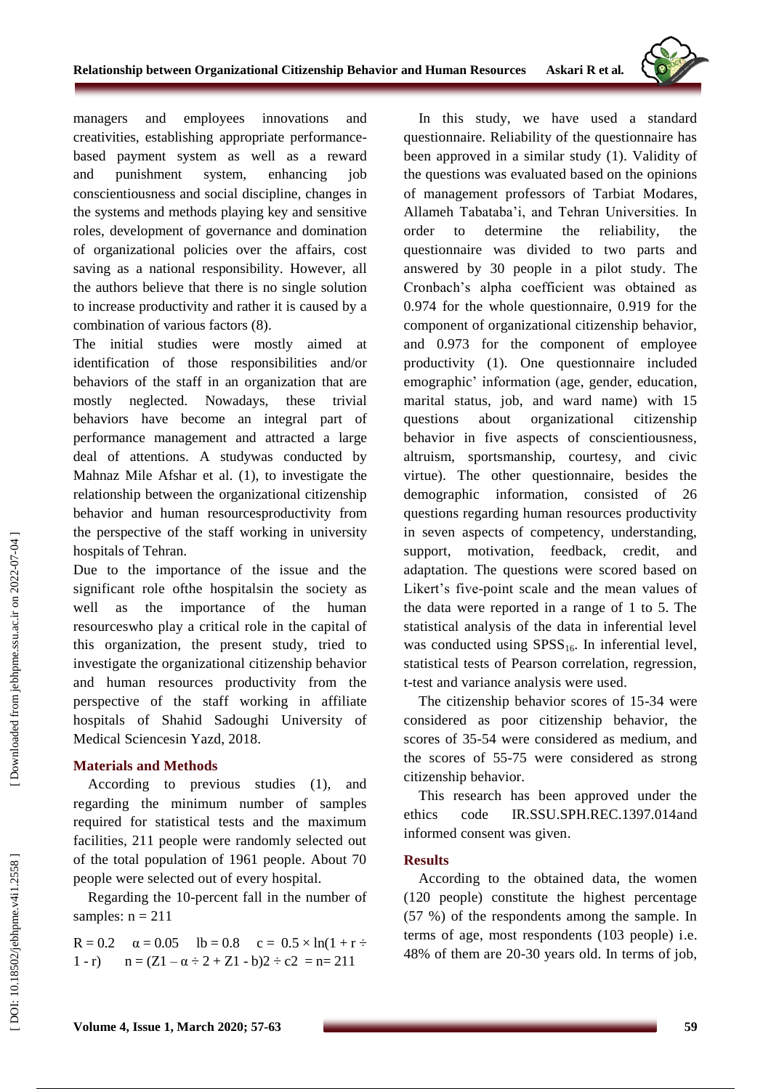

managers and employees innovations and creativities, establishing appropriate performance based payment system as well as a reward and punishment system, enhancing job conscientiousness and social discipline, changes in the systems and methods playing key and sensitive roles, development of governance and domination of organizational policies over the affairs, cost saving as a national responsibility. However, all the authors believe that there is no single solution to increase productivity and rather it is caused by a combination of various factors (8).

The initial studies were mostly aimed at identification of those responsibilities and/or behaviors of the staff in an organization that are mostly neglected. Nowadays, these trivial behaviors have become an integral part of performance management and attracted a large deal of attentions. A studywas conducted by Mahnaz Mile Afshar et al. ( 1), to investigate the relationship between the organizational citizenship behavior and human resourcesproductivity from the perspective of the staff working in university hospitals of Tehran .

Due to the importance of the issue and the significant role ofthe hospitalsin the society as well as the importance of the human resourceswho play a critical role in the capital of this organization, the present study, tried to investigate the organizational citizenship behavior and human resources productivity from the perspective of the staff working in affiliate hospitals of Shahid Sadoughi University of Medical Sciencesin Yazd, 201 8 .

# **Materials and Method s**

According to previous studies (1), and regarding the minimum number of samples required for statistical tests and the maximum facilities, 211 people were randomly selected out of the total population of 1961 people. About 70 people were selected out of every hospital.

Regarding the 10 -percent fall in the number of samples:  $n = 211$ 

R = 0.2  $\alpha = 0.05$  lb = 0.8  $c = 0.5 \times \ln(1 + r \div$  $1 - r$ ) n  $=(Z1 - \alpha \div 2 + Z1 - b)2 \div c2 = n = 211$ 

In this study, we have used a standard questionnaire. Reliability of the questionnaire has been approved in a similar stud y (1). Validity of the questions was evaluated based on the opinions of management professors of Tarbiat Modares, Allameh Tabataba'i, and Tehran Universities. In order to determine the reliability, the questionnaire was divided to two parts and answered by 30 people in a pilot study. The Cronbach's alpha coefficient was obtained as 0.974 for the whole questionnaire, 0.919 for the component of organizational citizenship behavior, and 0.973 for the component of employee productivity (1). One questionnaire included emographic' information (age, gender, education, marital status, job, and ward name) with 15 questions about organizational citizenship behavior in five aspects of conscientiousness, altruism, sportsmanship, courtesy, and civic virtue). The other questionnaire, besides the demographic information, consisted of 26 questions regarding human resources productivity in seven aspects of competency, understanding, support, motivation, feedback, credit, and adaptation. The questions were scored based on Likert's five -point scale and the mean values of the data were reported in a range of 1 to 5. The statistical analysis of the data in inferential level was conducted using  $SPSS_{16}$ . In inferential level, statistical tests of Pearson correlation, regression, t-test and variance analysis were used.

The citizenship behavior scores of 15 -34 were considered as poor citizenship behavior, the scores of 35 -54 were considered as medium, and the scores of 55 -75 were considered as strong citizenship behavior.

This research has been approved under the ethics code IR.SSU.SPH.REC.1397.014and informed consent was given.

# **Results**

According to the obtained data, the women (120 people) constitute the highest percentage (57 %) of the respondents among the sample. In terms of age, most respondents (103 people) i.e. 48% of them are 20 -30 years old. In terms of job,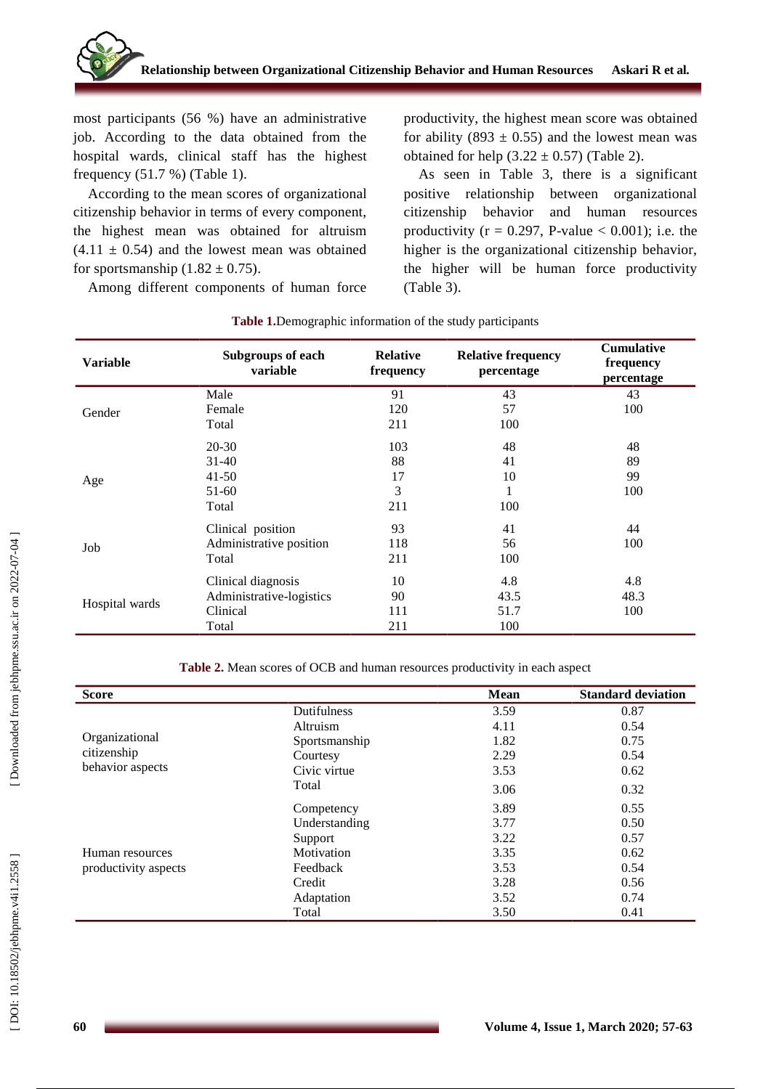

most participants (56 %) have an administrative job. According to the data obtained from the hospital wards, clinical staff has the highest frequency (51.7 %) (Table 1).

According to the mean scores of organizational citizenship behavior in terms of every component, the highest mean was obtained for altruism  $(4.11 \pm 0.54)$  and the lowest mean was obtained for sportsmanship  $(1.82 \pm 0.75)$ .

Among different components of human force

productivity, the highest mean score was obtained for ability (893  $\pm$  0.55) and the lowest mean was obtained for help  $(3.22 \pm 0.57)$  (Table 2).

As seen in Table 3, there is a significant positive relationship between organizational citizenship behavior and human resource s productivity ( $r = 0.297$ , P-value  $< 0.001$ ); i.e. the higher is the organizational citizenship behavior, the higher will be human force productivity (Table 3).

| <b>Variable</b> | <b>Subgroups of each</b><br>variable | <b>Relative</b><br>frequency | <b>Relative frequency</b><br>percentage | <b>Cumulative</b><br>frequency<br>percentage |
|-----------------|--------------------------------------|------------------------------|-----------------------------------------|----------------------------------------------|
| Gender          | Male                                 | 91                           | 43                                      | 43                                           |
|                 | Female                               | 120                          | 57                                      | 100                                          |
|                 | Total                                | 211                          | 100                                     |                                              |
| Age             | $20 - 30$                            | 103                          | 48                                      | 48                                           |
|                 | $31 - 40$                            | 88                           | 41                                      | 89                                           |
|                 | $41 - 50$                            | 17                           | 10                                      | 99                                           |
|                 | $51-60$                              | 3                            | 1                                       | 100                                          |
|                 | Total                                | 211                          | 100                                     |                                              |
| Job             | Clinical position                    | 93                           | 41                                      | 44                                           |
|                 | Administrative position              | 118                          | 56                                      | 100                                          |
|                 | Total                                | 211                          | 100                                     |                                              |
| Hospital wards  | Clinical diagnosis                   | 10                           | 4.8                                     | 4.8                                          |
|                 | Administrative-logistics             | 90                           | 43.5                                    | 48.3                                         |
|                 | Clinical                             | 111                          | 51.7                                    | 100                                          |
|                 | Total                                | 211                          | 100                                     |                                              |

#### **Table 1 .**Demographic information of the study participants

**Table 2 .** Mean scores of OCB and human resources productivity in each aspect

| <b>Score</b>         |               | <b>Mean</b> | <b>Standard deviation</b> |
|----------------------|---------------|-------------|---------------------------|
|                      | Dutifulness   | 3.59        | 0.87                      |
|                      | Altruism      | 4.11        | 0.54                      |
| Organizational       | Sportsmanship | 1.82        | 0.75                      |
| citizenship          | Courtesy      | 2.29        | 0.54                      |
| behavior aspects     | Civic virtue  | 3.53        | 0.62                      |
|                      | Total         | 3.06        | 0.32                      |
|                      | Competency    | 3.89        | 0.55                      |
|                      | Understanding | 3.77        | 0.50                      |
|                      | Support       | 3.22        | 0.57                      |
| Human resources      | Motivation    | 3.35        | 0.62                      |
| productivity aspects | Feedback      | 3.53        | 0.54                      |
|                      | Credit        | 3.28        | 0.56                      |
|                      | Adaptation    | 3.52        | 0.74                      |
|                      | Total         | 3.50        | 0.41                      |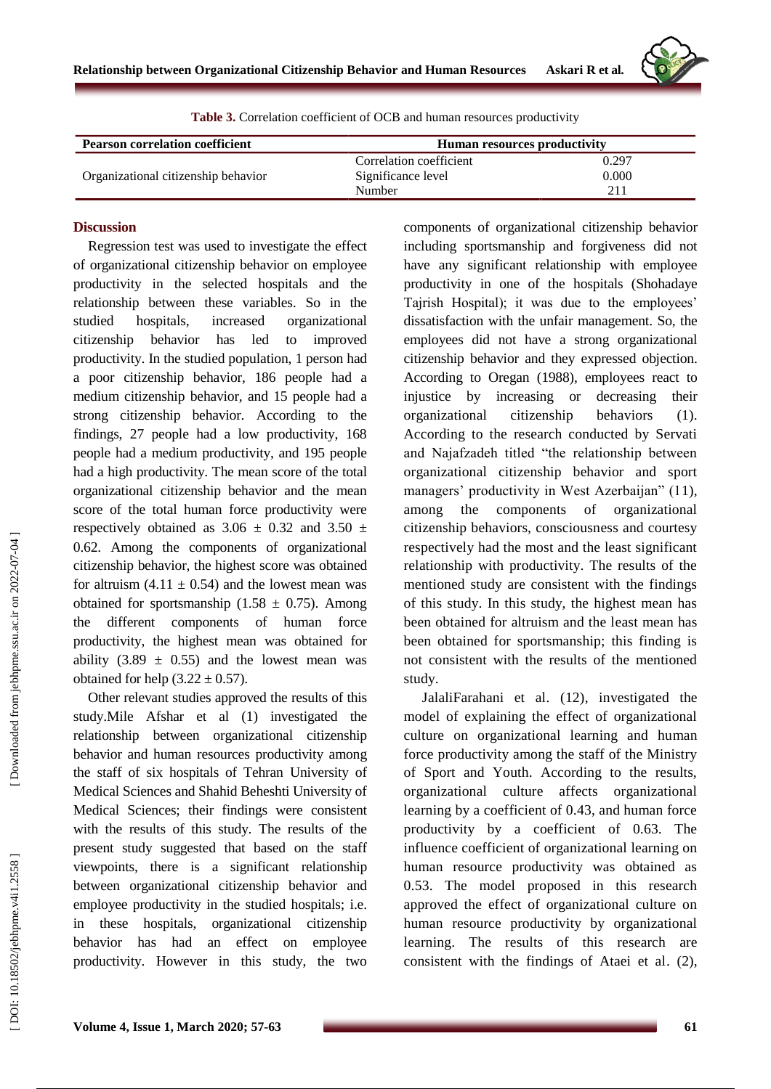

| <b>Pearson correlation coefficient</b> | <b>Human resources productivity</b> |       |  |
|----------------------------------------|-------------------------------------|-------|--|
|                                        | Correlation coefficient             | 0.297 |  |
| Organizational citizenship behavior    | Significance level                  | 0.000 |  |
|                                        | Number                              | 211   |  |

#### **Table 3 .** Correlation coefficient of OCB and human resources productivity

### **Discussion**

Regression test was used to investigate the effect of organizational citizenship behavior on employee productivity in the selected hospitals and the relationship between these variables. So in the studied hospitals, increased organizational citizenship behavior has led to improved productivity. In the studied population, 1 person had a poor citizenship behavior, 186 people had a medium citizenship behavior, and 15 people had a strong citizenship behavior. According to the findings, 27 people had a low productivity, 168 people had a medium productivity, and 195 people had a high productivity. The mean score of the total organizational citizenship behavior and the mean score of the total human force productivity were respectively obtained as  $3.06 \pm 0.32$  and  $3.50 \pm 1.5$ 0.62. Among the components of organizational citizenship behavior, the highest score was obtained for altruism  $(4.11 \pm 0.54)$  and the lowest mean was obtained for sportsmanship  $(1.58 \pm 0.75)$ . Among the different components of human force productivity, the highest mean was obtained for ability  $(3.89 \pm 0.55)$  and the lowest mean was obtained for help  $(3.22 \pm 0.57)$ .

Other relevant studies approved the results of this study.Mile Afshar et al ( 1) investigated the relationship between organizational citizenship behavior and human resources productivity among the staff of six hospitals of Tehran University of Medical Sciences and Shahid Beheshti University of Medical Sciences; their findings were consistent with the results of this study. The results of the present study suggested that based on the staff viewpoints, there is a significant relationship between organizational citizenship behavior and employee productivity in the studied hospitals; i.e. in these hospitals, organizational citizenship behavior has had an effect on employee productivity. However in this study, the two

components of organizational citizenship behavior including sportsmanship and forgiveness did not have any significant relationship with employee productivity in one of the hospitals (Shohadaye Tajrish Hospital); it was due to the employees' dissatisfaction with the unfair management. So, the employees did not have a strong organizational citizenship behavior and they expressed objection. According to Oregan (1988), employees react to injustice by increasing or decreasing their organizational citizenship behaviors (1). According to the research conducted by Servati and Najafzadeh titled "the relationship between organizational citizenship behavior and sport managers' productivity in West Azerbaijan" (1 1), among the components of organizational citizenship behaviors, consciousness and courtesy respectively had the most and the least significant relationship with productivity. The results of the mentioned study are consistent with the findings of this study. In this study, the highest mean has been obtained for altruism and the least mean has been obtained for sportsmanship; this finding is not consistent with the results of the mentioned study.

JalaliFarahani et al. (12) , investigated the model of explaining the effect of organizational culture on organizational learning and human force productivity among the staff of the Ministry of Sport and Youth. According to the results, organizational culture affects organizational learning by a coefficient of 0.43, and human force productivity by a coefficient of 0.63. The influence coefficient of organizational learning on human resource productivity was obtained as 0.53. The model proposed in this research approved the effect of organizational culture on human resource productivity by organizational learning . The results of this research are consistent with the findings of Ataei et al . ( 2),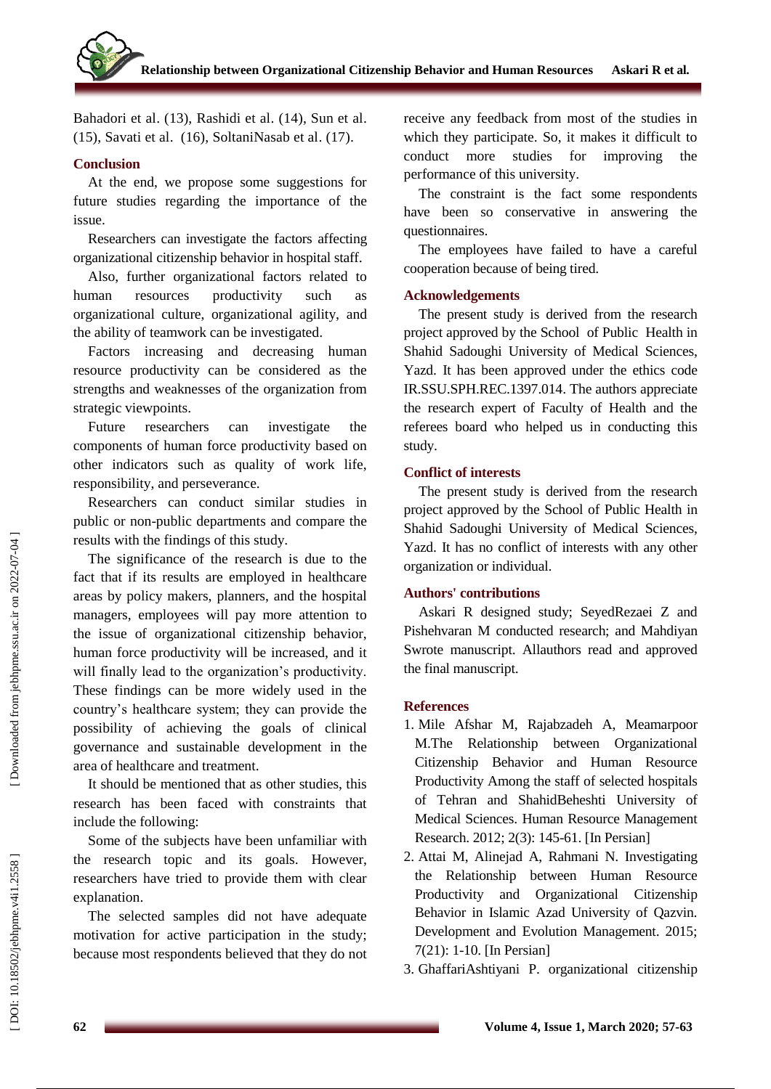Bahadori et al . (13), Rashidi et al . (14), Sun et al . (1 5), Savati et al . (1 6), SoltaniNasab et al . (17).

# **Conclusion**

At the end, we propose some suggestions for future studies regarding the importance of the issue.

Researchers can investigate the factors affecting organizational citizenship behavior in hospital staff.

Also, further organizational factors related to human resource productivity such as organizational culture, organizational agility, and the ability of teamwork can be investigated.

Factors increasing and decreasing human resource productivity can be considered as the strengths and weaknesses of the organization from strategic viewpoints.

Future researchers can investigate the components of human force productivity based on other indicators such as quality of work life, responsibility, and perseverance.

Researchers can conduct similar studies in public or non -public departments and compare the results with the findings of this study.

The significance of the research is due to the fact that if its results are employed in healthcare areas by policy makers, planners, and the hospital managers, employees will pay more attention to the issue of organizational citizenship behavior, human force productivity will be increased, and it will finally lead to the organization's productivity. These findings can be more widely used in the country's healthcare system; they can provide the possibility of achieving the goals of clinical governance and sustainable development in the area of healthcare and treatment.

It should be mentioned that as other studies, this research has been faced with constraints that include the following:

Some of the subjects have been unfamiliar with the research topic and its goals. However, researchers have tried to provide them with clear explanation.

The selected samples did not have adequate motivation for active participation in the study; because most respondents believed that they do not receive any feedback from most of the studies in which they participate. So, it makes it difficult to conduct more studies for improving the performance of this university.

The constraint is the fact some respondents have been so conservative in answering the questionnaires.

The employees have failed to have a careful cooperation because of being tired.

# **Acknowledgement s**

The present study is derived from the research project approved by the School of Public Health in Shahid Sado ughi University of Medical Sciences, Yazd. It has been approved under the ethics code IR.SSU.SPH.REC.1397.014. The authors appreciate the research expert of Faculty of Health and the referees board who helped us in conducting this study.

# **Conflict of interests**

The present study is derived from the research project approved by the School of Public Health in Shahid Sado ughi University of Medical Sciences, Yazd. It has no conflict of interests with any other organization or individual.

# **Authors' contributions**

Askari R designed study; SeyedRezaei Z and Pishehvaran M conducted research; and Mahdi yan Swrote manuscript. Allauthors read and approved the final manuscript.

# **References**

- 1. Mile Afshar M, Rajabzadeh A, Meamarpoor M.The Relationship between Organizational Citizenship Behavior and Human Resource Productivity Among the staff of selected hospitals of Tehran and ShahidBeheshti University of Medical Sciences. Human Resource Management Research. 2012; 2(3): 145 -61. [In Persian]
- 2 . Attai M, Alinejad A, Rahmani N. Investigating the Relationship between Human Resource Productivity and Organizational Citizenship Behavior in Islamic Azad University of Qazvin. Development and Evolution Management. 2015; 7(21): 1 -10. [In Persian]
- 3 . GhaffariAshtiyani P. organizational citizenship